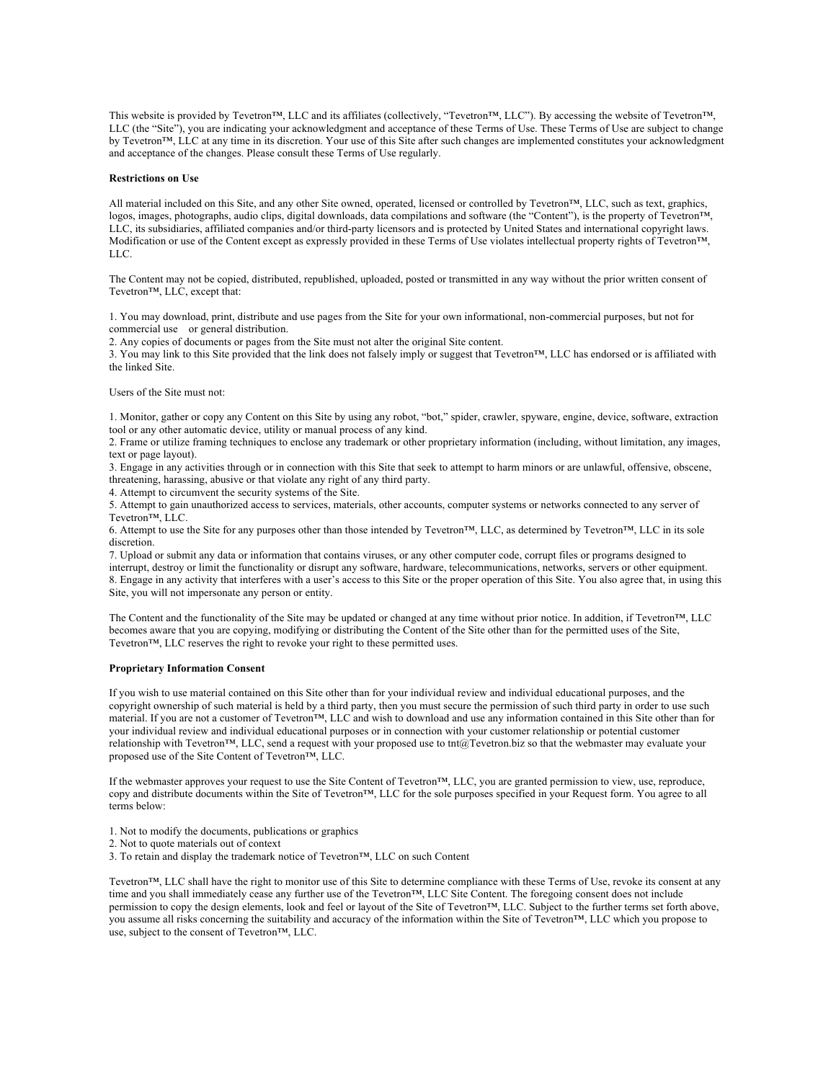This website is provided by Tevetron™, LLC and its affiliates (collectively, "Tevetron™, LLC"). By accessing the website of Tevetron™, LLC (the "Site"), you are indicating your acknowledgment and acceptance of these Terms of Use. These Terms of Use are subject to change by Tevetron™, LLC at any time in its discretion. Your use of this Site after such changes are implemented constitutes your acknowledgment and acceptance of the changes. Please consult these Terms of Use regularly.

### **Restrictions on Use**

All material included on this Site, and any other Site owned, operated, licensed or controlled by Tevetron™, LLC, such as text, graphics, logos, images, photographs, audio clips, digital downloads, data compilations and software (the "Content"), is the property of Tevetron™, LLC, its subsidiaries, affiliated companies and/or third-party licensors and is protected by United States and international copyright laws. Modification or use of the Content except as expressly provided in these Terms of Use violates intellectual property rights of Tevetron™, LLC.

The Content may not be copied, distributed, republished, uploaded, posted or transmitted in any way without the prior written consent of Tevetron™, LLC, except that:

1. You may download, print, distribute and use pages from the Site for your own informational, non-commercial purposes, but not for commercial use or general distribution.

2. Any copies of documents or pages from the Site must not alter the original Site content.

3. You may link to this Site provided that the link does not falsely imply or suggest that Tevetron™, LLC has endorsed or is affiliated with the linked Site.

Users of the Site must not:

1. Monitor, gather or copy any Content on this Site by using any robot, "bot," spider, crawler, spyware, engine, device, software, extraction tool or any other automatic device, utility or manual process of any kind.

2. Frame or utilize framing techniques to enclose any trademark or other proprietary information (including, without limitation, any images, text or page layout).

3. Engage in any activities through or in connection with this Site that seek to attempt to harm minors or are unlawful, offensive, obscene, threatening, harassing, abusive or that violate any right of any third party.

4. Attempt to circumvent the security systems of the Site.

5. Attempt to gain unauthorized access to services, materials, other accounts, computer systems or networks connected to any server of Tevetron™, LLC.

6. Attempt to use the Site for any purposes other than those intended by Tevetron™, LLC, as determined by Tevetron™, LLC in its sole discretion.

7. Upload or submit any data or information that contains viruses, or any other computer code, corrupt files or programs designed to interrupt, destroy or limit the functionality or disrupt any software, hardware, telecommunications, networks, servers or other equipment. 8. Engage in any activity that interferes with a user's access to this Site or the proper operation of this Site. You also agree that, in using this Site, you will not impersonate any person or entity.

The Content and the functionality of the Site may be updated or changed at any time without prior notice. In addition, if Tevetron™, LLC becomes aware that you are copying, modifying or distributing the Content of the Site other than for the permitted uses of the Site, Tevetron™, LLC reserves the right to revoke your right to these permitted uses.

# **Proprietary Information Consent**

If you wish to use material contained on this Site other than for your individual review and individual educational purposes, and the copyright ownership of such material is held by a third party, then you must secure the permission of such third party in order to use such material. If you are not a customer of Tevetron™, LLC and wish to download and use any information contained in this Site other than for your individual review and individual educational purposes or in connection with your customer relationship or potential customer relationship with Tevetron™, LLC, send a request with your proposed use to tnt@Tevetron.biz so that the webmaster may evaluate your proposed use of the Site Content of Tevetron™, LLC.

If the webmaster approves your request to use the Site Content of Tevetron™, LLC, you are granted permission to view, use, reproduce, copy and distribute documents within the Site of Tevetron™, LLC for the sole purposes specified in your Request form. You agree to all terms below:

- 1. Not to modify the documents, publications or graphics
- 2. Not to quote materials out of context
- 3. To retain and display the trademark notice of Tevetron™, LLC on such Content

Tevetron™, LLC shall have the right to monitor use of this Site to determine compliance with these Terms of Use, revoke its consent at any time and you shall immediately cease any further use of the Tevetron™, LLC Site Content. The foregoing consent does not include permission to copy the design elements, look and feel or layout of the Site of Tevetron™, LLC. Subject to the further terms set forth above, you assume all risks concerning the suitability and accuracy of the information within the Site of Tevetron™, LLC which you propose to use, subject to the consent of Tevetron™, LLC.